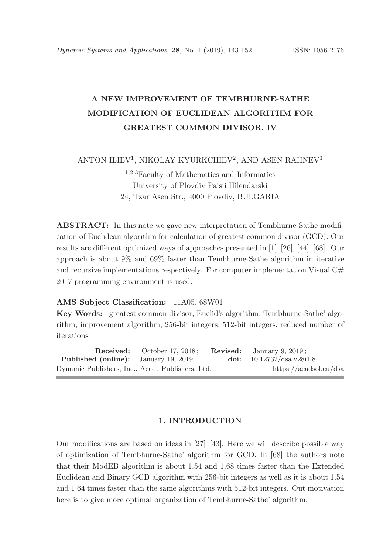# A NEW IMPROVEMENT OF TEMBHURNE-SATHE MODIFICATION OF EUCLIDEAN ALGORITHM FOR GREATEST COMMON DIVISOR. IV

## ANTON ILIEV<sup>1</sup>, NIKOLAY KYURKCHIEV<sup>2</sup>, AND ASEN RAHNEV<sup>3</sup>

# <sup>1</sup>,2,<sup>3</sup>Faculty of Mathematics and Informatics University of Plovdiv Paisii Hilendarski 24, Tzar Asen Str., 4000 Plovdiv, BULGARIA

ABSTRACT: In this note we gave new interpretation of Tembhurne-Sathe modification of Euclidean algorithm for calculation of greatest common divisor (GCD). Our results are different optimized ways of approaches presented in [1]–[26], [44]–[68]. Our approach is about 9% and 69% faster than Tembhurne-Sathe algorithm in iterative and recursive implementations respectively. For computer implementation Visual  $C#$ 2017 programming environment is used.

### AMS Subject Classification: 11A05, 68W01

Key Words: greatest common divisor, Euclid's algorithm, Tembhurne-Sathe' algorithm, improvement algorithm, 256-bit integers, 512-bit integers, reduced number of iterations

Received: October 17, 2018; Revised: January 9, 2019; Published (online): January 19, 2019 doi: 10.12732/dsa.v28i1.8 Dynamic Publishers, Inc., Acad. Publishers, Ltd. https://acadsol.eu/dsa

#### 1. INTRODUCTION

Our modifications are based on ideas in [27]–[43]. Here we will describe possible way of optimization of Tembhurne-Sathe' algorithm for GCD. In [68] the authors note that their ModEB algorithm is about 1.54 and 1.68 times faster than the Extended Euclidean and Binary GCD algorithm with 256-bit integers as well as it is about 1.54 and 1.64 times faster than the same algorithms with 512-bit integers. Out motivation here is to give more optimal organization of Tembhurne-Sathe' algorithm.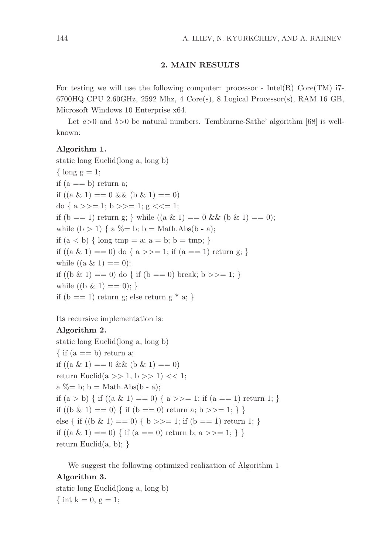#### 2. MAIN RESULTS

For testing we will use the following computer: processor - Intel(R)  $Core(TM)$  i7- $6700HQ$  CPU 2.60GHz, 2592 Mhz, 4 Core(s), 8 Logical Processor(s), RAM 16 GB, Microsoft Windows 10 Enterprise x64.

Let  $a > 0$  and  $b > 0$  be natural numbers. Tembhurne-Sathe' algorithm [68] is wellknown:

#### Algorithm 1.

static long Euclid(long a, long b)  $\{ \text{long } g = 1; \}$ if  $(a == b)$  return a; if  $((a \& 1) == 0 \& 0 \& 1) == 0)$ do {  $a \gg = 1$ ;  $b \gg = 1$ ;  $g \ll = 1$ ; if  $(b == 1)$  return g; } while  $((a \& 1) == 0 \& 0 \& 1) == 0)$ ; while  $(b > 1)$  { a % = b; b = Math.Abs(b - a); if  $(a < b)$  { long tmp = a; a = b; b = tmp; } if  $((a \& 1) == 0)$  do  $\{a \geq 1\}$ ; if  $(a == 1)$  return g; } while  $((a \& 1) == 0);$ if  $((b \& 1) == 0)$  do  $\{ \text{ if } (b == 0) \text{ break}; b \geq 1; \}$ while  $((b \& 1) == 0);$ if  $(b == 1)$  return g; else return g  $* a;$ 

Its recursive implementation is:

### Algorithm 2.

static long Euclid(long a, long b)  $\{$  if  $(a == b)$  return a; if  $((a \& 1) == 0 \& 0 \& 1) == 0)$ return Euclid $(a \gg 1, b \gg 1) \ll 1$ ; a  $\% = b$ ; b = Math.Abs(b - a); if  $(a > b)$  { if  $((a \& 1) == 0)$  {  $a \ge 1$ ; if  $(a == 1)$  return 1; } if  $((b \& 1) == 0)$  { if  $(b == 0)$  return a;  $b \ge 1$ ; } } else { if  $((b \& 1) == 0)$  {  $b \ge 1$ ; if  $(b == 1)$  return 1; } if  $((a \& 1) == 0) \{$  if  $(a == 0)$  return b;  $a \gg 1; \}$ return Euclid $(a, b)$ ; }

We suggest the following optimized realization of Algorithm 1 Algorithm 3.

static long Euclid(long a, long b) { int k = 0, g = 1;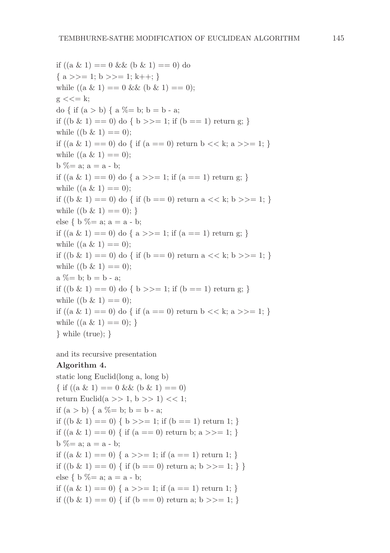if  $((a \& 1) == 0 \& (b \& 1) == 0)$  do  $\{a \gg = 1; b \gg = 1; k++; \}$ while  $((a \& 1) == 0 \& 0 \& 1) == 0$ ;  $g \ll l = k$ ; do { if  $(a > b)$  {  $a \% = b$ ;  $b = b - a$ ; if  $((b \& 1) == 0)$  do  $\{ b \} \geq 1$ ; if  $(b == 1)$  return g; } while  $((b \& 1) == 0);$ if  $((a \& 1) == 0)$  do  $\{ \text{ if } (a == 0) \text{ return } b \ll k; a \gg l=1; \}$ while  $((a \& 1) == 0)$ ;  $b \% = a$ ;  $a = a - b$ ; if  $((a \& 1) == 0)$  do  $\{a \geq 1\}$ ; if  $(a == 1)$  return g; } while  $((a \& 1) == 0)$ ; if  $((b \& 1) == 0)$  do { if  $(b == 0)$  return a  $<< k$ ; b  $>>= 1$ ; } while  $((b \& 1) == 0);$ else { b % = a; a = a - b; if  $((a \& 1) == 0)$  do  $\{a \geq 1\}$ ; if  $(a == 1)$  return g; } while  $((a \& 1) == 0);$ if  $((b \& 1) == 0)$  do  $\{ \text{ if } (b == 0) \text{ return a} \ll k; b \gg l; 1 \}$ while  $((b \& 1) == 0)$ ;  $a \% = b$ ;  $b = b - a$ ; if  $((b \& 1) == 0)$  do  $\{ b \} \geq 1$ ; if  $(b == 1)$  return g; } while  $((b \& 1) == 0);$ if  $((a \& 1) == 0)$  do { if  $(a == 0)$  return b << k; a >>= 1; } while  $((a \& 1) == 0);$ } while (true); }

and its recursive presentation

#### Algorithm 4.

static long Euclid(long a, long b)  $\{ \text{ if } ((a \& 1) == 0 \& \& (b \& 1) == 0) \}$ return Euclid(a >> 1, b >> 1) << 1; if  $(a > b) \{ a \% = b; b = b - a;$ if  $((b \& 1) == 0) \{ b \}>=1$ ; if  $(b == 1)$  return 1; } if  $((a \& 1) == 0) \{$  if  $(a == 0)$  return b;  $a \ge 1$ ; }  $b \% = a$ ;  $a = a - b$ ; if  $((a \& 1) == 0) \{ a \}>=1$ ; if  $(a == 1)$  return 1; } if  $((b \& 1) == 0)$  { if  $(b == 0)$  return a;  $b \geq 1$ ; } } else { b % = a; a = a - b; if  $((a \& 1) == 0) \{ a \}>=1$ ; if  $(a == 1)$  return 1; } if ((b & 1) = = 0) { if (b = = 0) return a; b > > = 1; }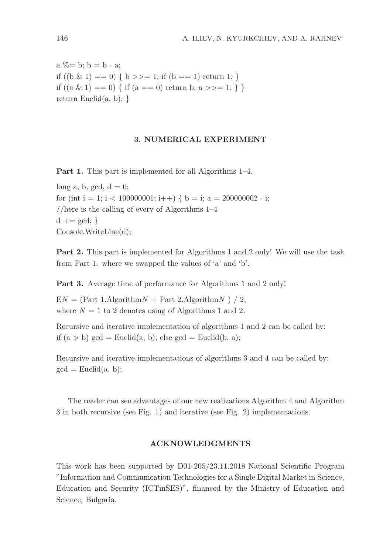$a \% = b$ ;  $b = b - a$ ; if  $((b \& 1) == 0) \{ b \}>=1$ ; if  $(b == 1)$  return 1; } if  $((a \& 1) == 0) \{$  if  $(a == 0)$  return b;  $a \gg 1; \}$ return Euclid $(a, b)$ ; }

#### 3. NUMERICAL EXPERIMENT

Part 1. This part is implemented for all Algorithms 1–4.

long a, b, gcd,  $d = 0$ ; for (int i = 1; i < 100000001; i++) { b = i; a = 200000002 - i; //here is the calling of every of Algorithms 1–4  $d \mathrel{+}= \gcd;$ Console.WriteLine(d);

Part 2. This part is implemented for Algorithms 1 and 2 only! We will use the task from Part 1. where we swapped the values of 'a' and 'b'.

Part 3. Average time of performance for Algorithms 1 and 2 only!

 $EN = (Part 1.AlgorithmN + Part 2.AlgorithmN) / 2,$ where  $N = 1$  to 2 denotes using of Algorithms 1 and 2.

Recursive and iterative implementation of algorithms 1 and 2 can be called by: if  $(a > b)$  gcd = Euclid $(a, b)$ ; else gcd = Euclid $(b, a)$ ;

Recursive and iterative implementations of algorithms 3 and 4 can be called by:  $gcd = Euclid(a, b);$ 

The reader can see advantages of our new realizations Algorithm 4 and Algorithm 3 in both recursive (see Fig. 1) and iterative (see Fig. 2) implementations.

#### ACKNOWLEDGMENTS

This work has been supported by D01-205/23.11.2018 National Scientific Program "Information and Communication Technologies for a Single Digital Market in Science, Education and Security (ICTinSES)", financed by the Ministry of Education and Science, Bulgaria.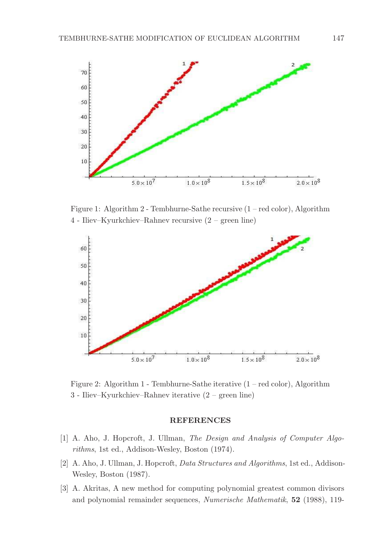

Figure 1: Algorithm 2 - Tembhurne-Sathe recursive (1 – red color), Algorithm 4 - Iliev–Kyurkchiev–Rahnev recursive (2 – green line)



Figure 2: Algorithm 1 - Tembhurne-Sathe iterative (1 – red color), Algorithm 3 - Iliev–Kyurkchiev–Rahnev iterative (2 – green line)

#### REFERENCES

- [1] A. Aho, J. Hopcroft, J. Ullman, *The Design and Analysis of Computer Algorithms*, 1st ed., Addison-Wesley, Boston (1974).
- [2] A. Aho, J. Ullman, J. Hopcroft, *Data Structures and Algorithms*, 1st ed., Addison-Wesley, Boston (1987).
- [3] A. Akritas, A new method for computing polynomial greatest common divisors and polynomial remainder sequences, *Numerische Mathematik*, 52 (1988), 119-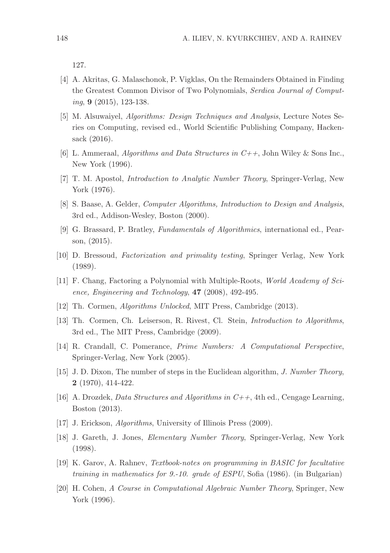127.

- [4] A. Akritas, G. Malaschonok, P. Vigklas, On the Remainders Obtained in Finding the Greatest Common Divisor of Two Polynomials, *Serdica Journal of Computing*, 9 (2015), 123-138.
- [5] M. Alsuwaiyel, *Algorithms: Design Techniques and Analysis*, Lecture Notes Series on Computing, revised ed., World Scientific Publishing Company, Hackensack (2016).
- [6] L. Ammeraal, *Algorithms and Data Structures in C++*, John Wiley & Sons Inc., New York (1996).
- [7] T. M. Apostol, *Introduction to Analytic Number Theory*, Springer-Verlag, New York (1976).
- [8] S. Baase, A. Gelder, *Computer Algorithms, Introduction to Design and Analysis*, 3rd ed., Addison-Wesley, Boston (2000).
- [9] G. Brassard, P. Bratley, *Fundamentals of Algorithmics*, international ed., Pearson, (2015).
- [10] D. Bressoud, *Factorization and primality testing*, Springer Verlag, New York (1989).
- [11] F. Chang, Factoring a Polynomial with Multiple-Roots, *World Academy of Science, Engineering and Technology*, 47 (2008), 492-495.
- [12] Th. Cormen, *Algorithms Unlocked*, MIT Press, Cambridge (2013).
- [13] Th. Cormen, Ch. Leiserson, R. Rivest, Cl. Stein, *Introduction to Algorithms*, 3rd ed., The MIT Press, Cambridge (2009).
- [14] R. Crandall, C. Pomerance, *Prime Numbers: A Computational Perspective*, Springer-Verlag, New York (2005).
- [15] J. D. Dixon, The number of steps in the Euclidean algorithm, *J. Number Theory*, 2 (1970), 414-422.
- [16] A. Drozdek, *Data Structures and Algorithms in C++*, 4th ed., Cengage Learning, Boston (2013).
- [17] J. Erickson, *Algorithms*, University of Illinois Press (2009).
- [18] J. Gareth, J. Jones, *Elementary Number Theory*, Springer-Verlag, New York (1998).
- [19] K. Garov, A. Rahnev, *Textbook-notes on programming in BASIC for facultative training in mathematics for 9.-10. grade of ESPU*, Sofia (1986). (in Bulgarian)
- [20] H. Cohen, *A Course in Computational Algebraic Number Theory*, Springer, New York (1996).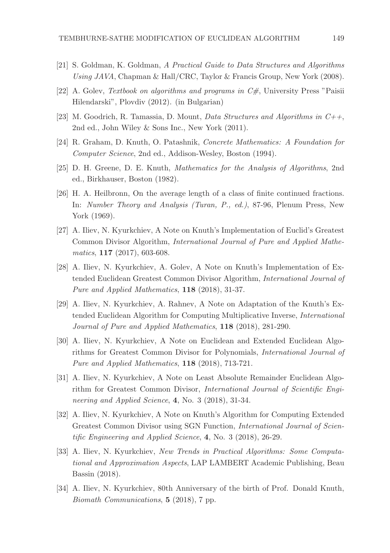- [21] S. Goldman, K. Goldman, *A Practical Guide to Data Structures and Algorithms Using JAVA*, Chapman & Hall/CRC, Taylor & Francis Group, New York (2008).
- [22] A. Golev, *Textbook on algorithms and programs in C#*, University Press "Paisii Hilendarski", Plovdiv (2012). (in Bulgarian)
- [23] M. Goodrich, R. Tamassia, D. Mount, *Data Structures and Algorithms in C++*, 2nd ed., John Wiley & Sons Inc., New York (2011).
- [24] R. Graham, D. Knuth, O. Patashnik, *Concrete Mathematics: A Foundation for Computer Science*, 2nd ed., Addison-Wesley, Boston (1994).
- [25] D. H. Greene, D. E. Knuth, *Mathematics for the Analysis of Algorithms*, 2nd ed., Birkhauser, Boston (1982).
- [26] H. A. Heilbronn, On the average length of a class of finite continued fractions. In: *Number Theory and Analysis (Turan, P., ed.)*, 87-96, Plenum Press, New York (1969).
- [27] A. Iliev, N. Kyurkchiev, A Note on Knuth's Implementation of Euclid's Greatest Common Divisor Algorithm, *International Journal of Pure and Applied Mathematics*, 117 (2017), 603-608.
- [28] A. Iliev, N. Kyurkchiev, A. Golev, A Note on Knuth's Implementation of Extended Euclidean Greatest Common Divisor Algorithm, *International Journal of Pure and Applied Mathematics*, 118 (2018), 31-37.
- [29] A. Iliev, N. Kyurkchiev, A. Rahnev, A Note on Adaptation of the Knuth's Extended Euclidean Algorithm for Computing Multiplicative Inverse, *International Journal of Pure and Applied Mathematics*, 118 (2018), 281-290.
- [30] A. Iliev, N. Kyurkchiev, A Note on Euclidean and Extended Euclidean Algorithms for Greatest Common Divisor for Polynomials, *International Journal of Pure and Applied Mathematics*, 118 (2018), 713-721.
- [31] A. Iliev, N. Kyurkchiev, A Note on Least Absolute Remainder Euclidean Algorithm for Greatest Common Divisor, *International Journal of Scientific Engineering and Applied Science*, 4, No. 3 (2018), 31-34.
- [32] A. Iliev, N. Kyurkchiev, A Note on Knuth's Algorithm for Computing Extended Greatest Common Divisor using SGN Function, *International Journal of Scientific Engineering and Applied Science*, 4, No. 3 (2018), 26-29.
- [33] A. Iliev, N. Kyurkchiev, *New Trends in Practical Algorithms: Some Computational and Approximation Aspects*, LAP LAMBERT Academic Publishing, Beau Bassin (2018).
- [34] A. Iliev, N. Kyurkchiev, 80th Anniversary of the birth of Prof. Donald Knuth, *Biomath Communications*, 5 (2018), 7 pp.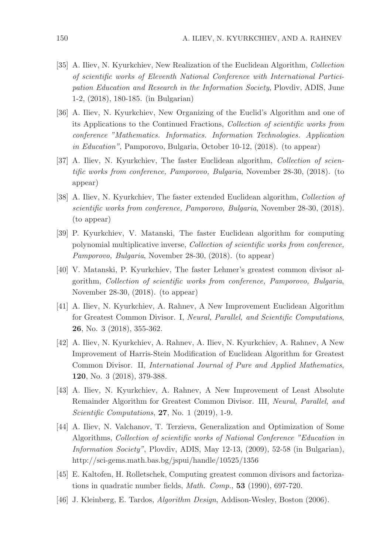- [35] A. Iliev, N. Kyurkchiev, New Realization of the Euclidean Algorithm, *Collection of scientific works of Eleventh National Conference with International Participation Education and Research in the Information Society*, Plovdiv, ADIS, June 1-2, (2018), 180-185. (in Bulgarian)
- [36] A. Iliev, N. Kyurkchiev, New Organizing of the Euclid's Algorithm and one of its Applications to the Continued Fractions, *Collection of scientific works from conference "Mathematics. Informatics. Information Technologies. Application in Education"*, Pamporovo, Bulgaria, October 10-12, (2018). (to appear)
- [37] A. Iliev, N. Kyurkchiev, The faster Euclidean algorithm, *Collection of scientific works from conference, Pamporovo, Bulgaria*, November 28-30, (2018). (to appear)
- [38] A. Iliev, N. Kyurkchiev, The faster extended Euclidean algorithm, *Collection of scientific works from conference, Pamporovo, Bulgaria*, November 28-30, (2018). (to appear)
- [39] P. Kyurkchiev, V. Matanski, The faster Euclidean algorithm for computing polynomial multiplicative inverse, *Collection of scientific works from conference, Pamporovo, Bulgaria*, November 28-30, (2018). (to appear)
- [40] V. Matanski, P. Kyurkchiev, The faster Lehmer's greatest common divisor algorithm, *Collection of scientific works from conference, Pamporovo, Bulgaria*, November 28-30, (2018). (to appear)
- [41] A. Iliev, N. Kyurkchiev, A. Rahnev, A New Improvement Euclidean Algorithm for Greatest Common Divisor. I, *Neural, Parallel, and Scientific Computations*, 26, No. 3 (2018), 355-362.
- [42] A. Iliev, N. Kyurkchiev, A. Rahnev, A. Iliev, N. Kyurkchiev, A. Rahnev, A New Improvement of Harris-Stein Modification of Euclidean Algorithm for Greatest Common Divisor. II, *International Journal of Pure and Applied Mathematics*, 120, No. 3 (2018), 379-388.
- [43] A. Iliev, N. Kyurkchiev, A. Rahnev, A New Improvement of Least Absolute Remainder Algorithm for Greatest Common Divisor. III, *Neural, Parallel, and Scientific Computations*, 27, No. 1 (2019), 1-9.
- [44] A. Iliev, N. Valchanov, T. Terzieva, Generalization and Optimization of Some Algorithms, *Collection of scientific works of National Conference "Education in Information Society"*, Plovdiv, ADIS, May 12-13, (2009), 52-58 (in Bulgarian), http://sci-gems.math.bas.bg/jspui/handle/10525/1356
- [45] E. Kaltofen, H. Rolletschek, Computing greatest common divisors and factorizations in quadratic number fields, *Math. Comp.*, 53 (1990), 697-720.
- [46] J. Kleinberg, E. Tardos, *Algorithm Design*, Addison-Wesley, Boston (2006).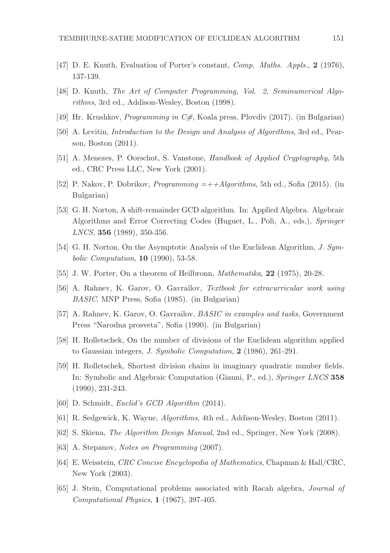- [47] D. E. Knuth, Evaluation of Porter's constant, *Comp. Maths. Appls.*, 2 (1976), 137-139.
- [48] D. Knuth, *The Art of Computer Programming, Vol. 2, Seminumerical Algorithms*, 3rd ed., Addison-Wesley, Boston (1998).
- [49] Hr. Krushkov, *Programming in C#*, Koala press, Plovdiv (2017). (in Bulgarian)
- [50] A. Levitin, *Introduction to the Design and Analysis of Algorithms*, 3rd ed., Pearson, Boston (2011).
- [51] A. Menezes, P. Oorschot, S. Vanstone, *Handbook of Applied Cryptography*, 5th ed., CRC Press LLC, New York (2001).
- [52] P. Nakov, P. Dobrikov, *Programming =++Algorithms*, 5th ed., Sofia (2015). (in Bulgarian)
- [53] G. H. Norton, A shift-remainder GCD algorithm. In: Applied Algebra. Algebraic Algorithms and Error Correcting Codes (Huguet, L., Poli, A., eds.), *Springer LNCS*, 356 (1989), 350-356.
- [54] G. H. Norton, On the Asymptotic Analysis of the Euclidean Algorithm, *J. Symbolic Computation*, 10 (1990), 53-58.
- [55] J. W. Porter, On a theorem of Heilbronn, *Mathematika*, 22 (1975), 20-28.
- [56] A. Rahnev, K. Garov, O. Gavrailov, *Textbook for extracurricular work using BASIC*, MNP Press, Sofia (1985). (in Bulgarian)
- [57] A. Rahnev, K. Garov, O. Gavrailov, *BASIC in examples and tasks*, Government Press "Narodna prosveta", Sofia (1990). (in Bulgarian)
- [58] H. Rolletschek, On the number of divisions of the Euclidean algorithm applied to Gaussian integers, *J. Symbolic Computation*, 2 (1986), 261-291.
- [59] H. Rolletschek, Shortest division chains in imaginary quadratic number fields. In: Symbolic and Algebraic Computation (Gianni, P., ed.), *Springer LNCS* 358 (1990), 231-243.
- [60] D. Schmidt, *Euclid's GCD Algorithm* (2014).
- [61] R. Sedgewick, K. Wayne, *Algorithms*, 4th ed., Addison-Wesley, Boston (2011).
- [62] S. Skiena, *The Algorithm Design Manual*, 2nd ed., Springer, New York (2008).
- [63] A. Stepanov, *Notes on Programming* (2007).
- [64] E. Weisstein, *CRC Concise Encyclopedia of Mathematics*, Chapman & Hall/CRC, New York (2003).
- [65] J. Stein, Computational problems associated with Racah algebra, *Journal of Computational Physics*, 1 (1967), 397-405.